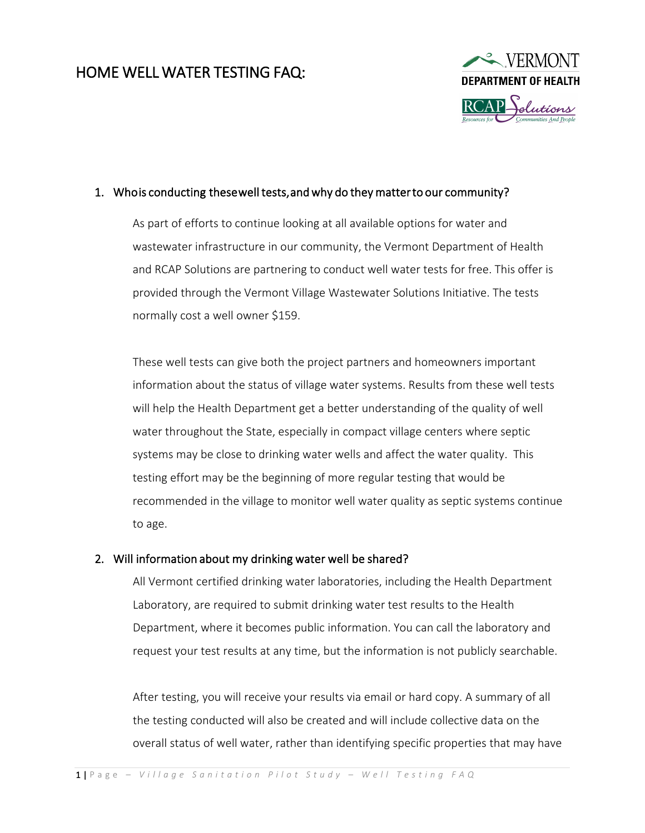# HOME WELL WATER TESTING FAQ:



#### 1. Whois conducting these well tests, and why do they matter to our community?

As part of efforts to continue looking at all available options for water and wastewater infrastructure in our community, the Vermont Department of Health and RCAP Solutions are partnering to conduct well water tests for free. This offer is provided through the Vermont Village Wastewater Solutions Initiative. The tests normally cost a well owner \$159.

These well tests can give both the project partners and homeowners important information about the status of village water systems. Results from these well tests will help the Health Department get a better understanding of the quality of well water throughout the State, especially in compact village centers where septic systems may be close to drinking water wells and affect the water quality. This testing effort may be the beginning of more regular testing that would be recommended in the village to monitor well water quality as septic systems continue to age.

### 2. Will information about my drinking water well be shared?

All Vermont certified drinking water laboratories, including the Health Department Laboratory, are required to submit drinking water test results to the Health Department, where it becomes public information. You can call the laboratory and request your test results at any time, but the information is not publicly searchable.

After testing, you will receive your results via email or hard copy. A summary of all the testing conducted will also be created and will include collective data on the overall status of well water, rather than identifying specific properties that may have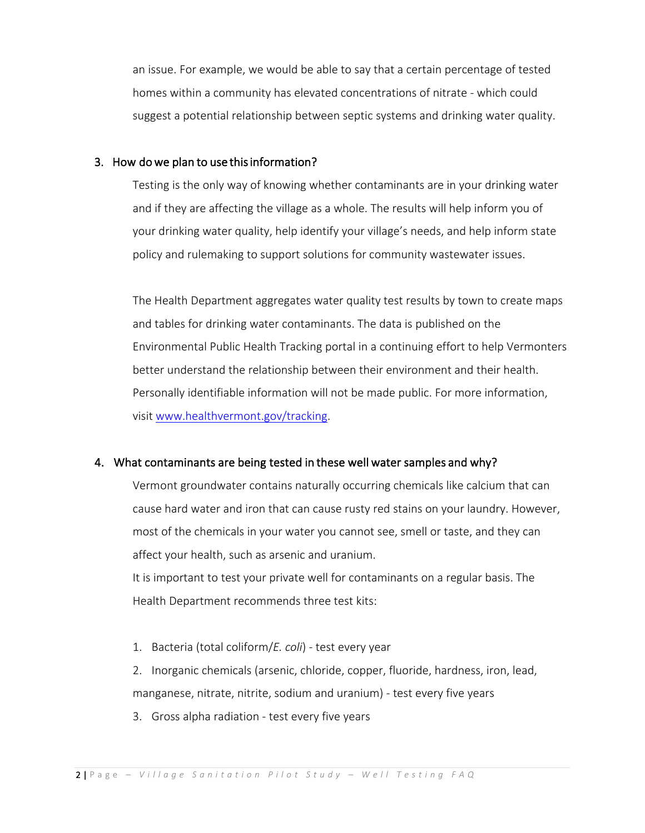an issue. For example, we would be able to say that a certain percentage of tested homes within a community has elevated concentrations of nitrate - which could suggest a potential relationship between septic systems and drinking water quality.

#### 3. How do we plan to use this information?

Testing is the only way of knowing whether contaminants are in your drinking water and if they are affecting the village as a whole. The results will help inform you of your drinking water quality, help identify your village's needs, and help inform state policy and rulemaking to support solutions for community wastewater issues.

The Health Department aggregates water quality test results by town to create maps and tables for drinking water contaminants. The data is published on the Environmental Public Health Tracking portal in a continuing effort to help Vermonters better understand the relationship between their environment and their health. Personally identifiable information will not be made public. For more information, visit [www.healthvermont.gov/tracking.](http://www.healthvermont.gov/tracking)

#### 4. What contaminants are being tested in these well water samples and why?

Vermont groundwater contains naturally occurring chemicals like calcium that can cause hard water and iron that can cause rusty red stains on your laundry. However, most of the chemicals in your water you cannot see, smell or taste, and they can affect your health, such as arsenic and uranium.

It is important to test your private well for contaminants on a regular basis. The Health Department recommends three test kits:

1. Bacteria (total coliform/*E. coli*) - test every year

2. Inorganic chemicals (arsenic, chloride, copper, fluoride, hardness, iron, lead, manganese, nitrate, nitrite, sodium and uranium) - test every five years

3. Gross alpha radiation - test every five years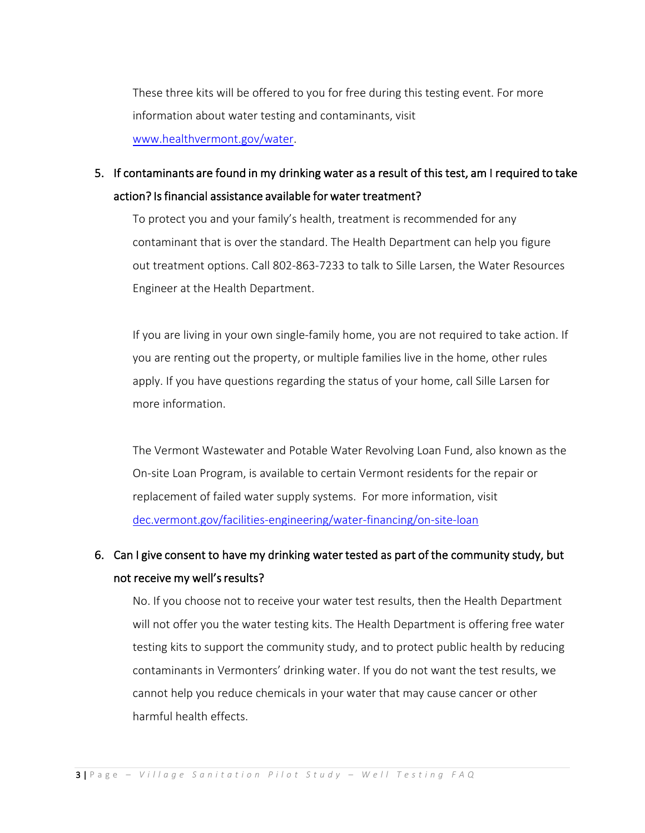These three kits will be offered to you for free during this testing event. For more information about water testing [and contaminants, visit](http://www.healthvermont.gov/water)  www.healthvermont.gov/water.

### 5. If contaminants are found in my drinking water as a result of this test, am I required to take action? Is financial assistance available for water treatment?

To protect you and your family's health, treatment is recommended for any contaminant that is over the standard. The Health Department can help you figure out treatment options. Call 802-863-7233 to talk to Sille Larsen, the Water Resources Engineer at the Health Department.

If you are living in your own single-family home, you are not required to take action. If you are renting out the property, or multiple families live in the home, other rules apply. If you have questions regarding the status of your home, call Sille Larsen for more information.

The Vermont Wastewater and Potable Water Revolving Loan Fund, also known as the On-site Loan Program, is available to certain Vermont residents for the repair or replacement of failed water supply systems. For more information, visit [dec.vermont.gov/facilities-engineering/water-financing/on-site-loan](https://dec.vermont.gov/facilities-engineering/water-financing/on-site-loan) 

## 6. Can I give consent to have my drinking water tested as part of the community study, but not receive my well's results?

No. If you choose not to receive your water test results, then the Health Department will not offer you the water testing kits. The Health Department is offering free water testing kits to support the community study, and to protect public health by reducing contaminants in Vermonters' drinking water. If you do not want the test results, we cannot help you reduce chemicals in your water that may cause cancer or other harmful health effects.